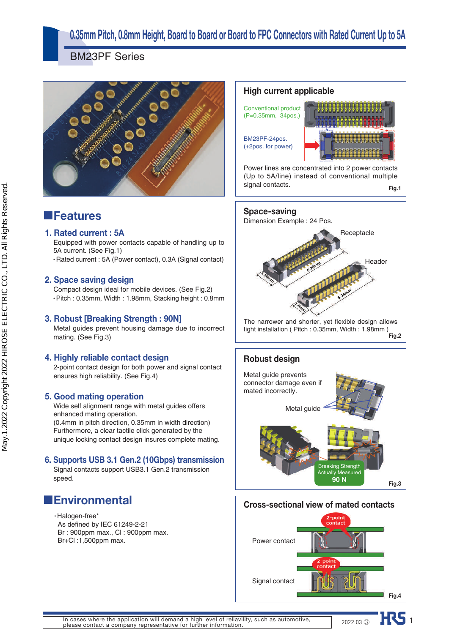## **0.35mm Pitch, 0.8mm Height, Board to Board or Board to FPC Connectors with Rated Current Up to 5A**

signal contacts.

BM23PF Series



## ■**Features**

### **1. Rated current : 5A**

Equipped with power contacts capable of handling up to 5A current. (See Fig.1)

• Rated current : 5A (Power contact), 0.3A (Signal contact)

### **2. Space saving design**

Compact design ideal for mobile devices. (See Fig.2) ● Pitch : 0.35mm, Width : 1.98mm, Stacking height : 0.8mm

### **3. Robust [Breaking Strength : 90N]**

Metal guides prevent housing damage due to incorrect mating. (See Fig.3)

### **4. Highly reliable contact design**

2-point contact design for both power and signal contact ensures high reliability. (See Fig.4)

### **5. Good mating operation**

Wide self alignment range with metal guides offers enhanced mating operation. (0.4mm in pitch direction, 0.35mm in width direction)

Furthermore, a clear tactile click generated by the unique locking contact design insures complete mating.

### **6. Supports USB 3.1 Gen.2 (10Gbps) transmission**

Signal contacts support USB3.1 Gen.2 transmission speed.

## ■**Environmental**

 $\cdot$  Halogen-free\* As defined by IEC 61249-2-21 Br : 900ppm max., Cl : 900ppm max. Br+Cl :1,500ppm max.



**Fig.1**

**Space-saving** Dimension Example : 24 Pos. **Receptacle** Header The narrower and shorter, yet flexible design allows tight installation ( Pitch : 0.35mm, Width : 1.98mm ) **Fig.2**





2022.03 **HRS** 1

In cases where the application will demand a high level of reliavility, such as automotive, please contact a company representative for further information.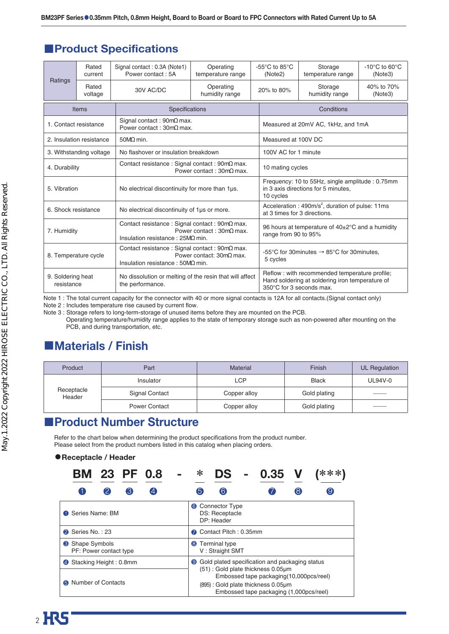## ■**Product Specifications**

|                                 | Rated<br>current         | Signal contact: 0.3A (Note1)<br>Power contact: 5A                                                   | Operating<br>temperature range          | -55 $\mathrm{^{\circ}C}$ to 85 $\mathrm{^{\circ}C}$<br>(Note2)                                                               | Storage<br>temperature range                                                           | $-10^{\circ}$ C to 60 $^{\circ}$ C<br>(Note3) |  |  |
|---------------------------------|--------------------------|-----------------------------------------------------------------------------------------------------|-----------------------------------------|------------------------------------------------------------------------------------------------------------------------------|----------------------------------------------------------------------------------------|-----------------------------------------------|--|--|
| Ratings                         | Rated<br>voltage         | 30V AC/DC                                                                                           | Operating<br>humidity range             | 20% to 80%                                                                                                                   | Storage<br>humidity range                                                              | 40% to 70%<br>(Note3)                         |  |  |
|                                 | Items                    | Specifications                                                                                      |                                         |                                                                                                                              | Conditions                                                                             |                                               |  |  |
| 1. Contact resistance           |                          | Signal contact: 90mΩ max.<br>Power contact: $30 \text{m}\Omega$ max.                                |                                         |                                                                                                                              | Measured at 20mV AC, 1kHz, and 1mA                                                     |                                               |  |  |
|                                 | 2. Insulation resistance | $50M\Omega$ min.                                                                                    |                                         | Measured at 100V DC                                                                                                          |                                                                                        |                                               |  |  |
|                                 | 3. Withstanding voltage  | No flashover or insulation breakdown                                                                |                                         | 100V AC for 1 minute                                                                                                         |                                                                                        |                                               |  |  |
| 4. Durability                   |                          | Contact resistance : Signal contact : $90m\Omega$ max.                                              | Power contact: $30 \text{m}\Omega$ max. |                                                                                                                              | 10 mating cycles                                                                       |                                               |  |  |
| 5. Vibration                    |                          | No electrical discontinuity for more than 1µs.                                                      |                                         | 10 cycles                                                                                                                    | Frequency: 10 to 55Hz, single amplitude: 0.75mm<br>in 3 axis directions for 5 minutes. |                                               |  |  |
| 6. Shock resistance             |                          | No electrical discontinuity of 1us or more.                                                         |                                         |                                                                                                                              | Acceleration : $490m/s^2$ , duration of pulse: 11ms<br>at 3 times for 3 directions.    |                                               |  |  |
| 7. Humidity                     |                          | Contact resistance : Signal contact : 90mΩ max.<br>Insulation resistance : $25M\Omega$ min.         | Power contact: $30 \text{m}\Omega$ max. | 96 hours at temperature of 40±2°C and a humidity<br>range from 90 to 95%                                                     |                                                                                        |                                               |  |  |
| 8. Temperature cycle            |                          | Contact resistance : Signal contact : $90 \text{m}\Omega$ max.<br>Insulation resistance : 50ΜΩ min. | Power contact: 30mΩ max.                | -55°C for 30 minutes $\rightarrow$ 85°C for 30 minutes,<br>5 cycles                                                          |                                                                                        |                                               |  |  |
| 9. Soldering heat<br>resistance |                          | No dissolution or melting of the resin that will affect<br>the performance.                         |                                         | Reflow: with recommended temperature profile;<br>Hand soldering at soldering iron temperature of<br>350°C for 3 seconds max. |                                                                                        |                                               |  |  |

Note 1 : The total current capacity for the connector with 40 or more signal contacts is 12A for all contacts.(Signal contact only)

Note 2 : Includes temperature rise caused by current flow.

Note 3 : Storage refers to long-term-storage of unused items before they are mounted on the PCB.

Operating temperature/humidity range applies to the state of temporary storage such as non-powered after mounting on the PCB, and during transportation, etc.

## ■**Materials / Finish**

| Product              | Part                  | <b>Material</b> | Finish       | UL Regulation |
|----------------------|-----------------------|-----------------|--------------|---------------|
|                      | Insulator             | <b>LCP</b>      | <b>Black</b> | UL94V-0       |
| Receptacle<br>Header | <b>Signal Contact</b> | Copper alloy    | Gold plating | _____         |
|                      | <b>Power Contact</b>  | Copper alloy    | Gold plating |               |

## ■**Product Number Structure**

Refer to the chart below when determining the product specifications from the product number. Please select from the product numbers listed in this catalog when placing orders.

### ●**Receptacle / Header**

| <b>BM 23 PF 0.8</b>                     | ∗<br>$***$<br>$0.35$ V<br>DS<br>$\blacksquare$                                                                                                                 |  |  |  |
|-----------------------------------------|----------------------------------------------------------------------------------------------------------------------------------------------------------------|--|--|--|
| (3)                                     | $\bf{8}$<br>(6)<br>(5<br>(9                                                                                                                                    |  |  |  |
| Series Name: BM                         | <b>Connector Type</b><br>6<br>DS: Receptacle<br>DP: Header                                                                                                     |  |  |  |
| 2 Series No.: 23                        | Contact Pitch: 0.35mm                                                                                                                                          |  |  |  |
| Shape Symbols<br>PF: Power contact type | Terminal type<br>8<br>V: Straight SMT                                                                                                                          |  |  |  |
| Stacking Height: 0.8mm<br>$\Phi$        | Gold plated specification and packaging status<br>0                                                                                                            |  |  |  |
| <b>6</b> Number of Contacts             | (51): Gold plate thickness 0.05µm<br>Embossed tape packaging (10,000pcs/reel)<br>(895): Gold plate thickness 0.05µm<br>Embossed tape packaging (1,000pcs/reel) |  |  |  |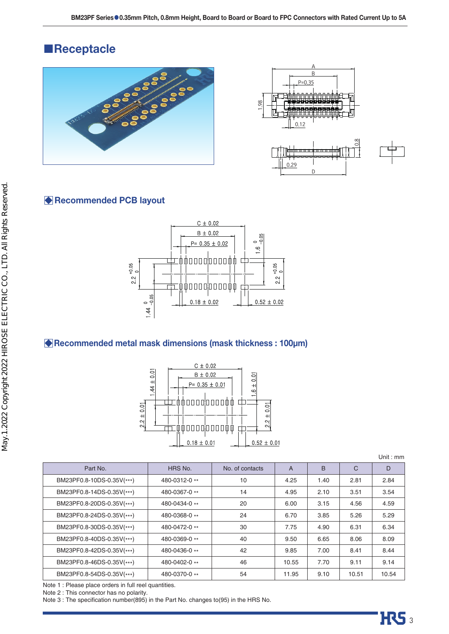## ■**Receptacle**





### **Recommended PCB layout**



### **Recommended metal mask dimensions (mask thickness : 100µm)**



Unit : mm

| No. of contacts | $\overline{A}$ | B    | $\mathsf{C}$ | D     |
|-----------------|----------------|------|--------------|-------|
| 10              | 4.25           | 1.40 | 2.81         | 2.84  |
| 14              | 4.95           | 2.10 | 3.51         | 3.54  |
| 20              | 6.00           | 3.15 | 4.56         | 4.59  |
| 24              | 6.70           | 3.85 | 5.26         | 5.29  |
| 30              | 7.75           | 4.90 | 6.31         | 6.34  |
| 40              | 9.50           | 6.65 | 8.06         | 8.09  |
| 42              | 9.85           | 7.00 | 8.41         | 8.44  |
| 46              | 10.55          | 7.70 | 9.11         | 9.14  |
| 54              | 11.95          | 9.10 | 10.51        | 10.54 |
|                 |                |      |              |       |

Note 1 : Please place orders in full reel quantities.

Note 2 : This connector has no polarity.

Note 3 : The specification number(895) in the Part No. changes to(95) in the HRS No.

H<sub>3</sub>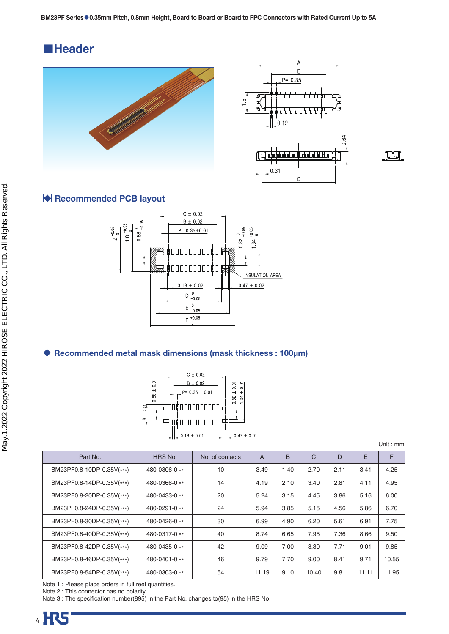## ■**Header**





$$
\mathbb{F}^{\perp}
$$

### **Recommended PCB layout**



### **Recommended metal mask dimensions (mask thickness : 100µm)**



| Unit : $mm$ |  |  |
|-------------|--|--|
|             |  |  |

| Part No.                  | HRS No.         | No. of contacts | $\overline{A}$ | B    | C     | D    | E     | F     |
|---------------------------|-----------------|-----------------|----------------|------|-------|------|-------|-------|
| BM23PF0.8-10DP-0.35V(***) | 480-0306-0 **   | 10              | 3.49           | 1.40 | 2.70  | 2.11 | 3.41  | 4.25  |
| BM23PF0.8-14DP-0.35V(***) | 480-0366-0 **   | 14              | 4.19           | 2.10 | 3.40  | 2.81 | 4.11  | 4.95  |
| BM23PF0.8-20DP-0.35V(***) | 480-0433-0 **   | 20              | 5.24           | 3.15 | 4.45  | 3.86 | 5.16  | 6.00  |
| BM23PF0.8-24DP-0.35V(***) | 480-0291-0 **   | 24              | 5.94           | 3.85 | 5.15  | 4.56 | 5.86  | 6.70  |
| BM23PF0.8-30DP-0.35V(***) | 480-0426-0 **   | 30              | 6.99           | 4.90 | 6.20  | 5.61 | 6.91  | 7.75  |
| BM23PF0.8-40DP-0.35V(***) | 480-0317-0 **   | 40              | 8.74           | 6.65 | 7.95  | 7.36 | 8.66  | 9.50  |
| BM23PF0.8-42DP-0.35V(***) | 480-0435-0 **   | 42              | 9.09           | 7.00 | 8.30  | 7.71 | 9.01  | 9.85  |
| BM23PF0.8-46DP-0.35V(***) | 480-0401-0 $**$ | 46              | 9.79           | 7.70 | 9.00  | 8.41 | 9.71  | 10.55 |
| BM23PF0.8-54DP-0.35V(***) | 480-0303-0 **   | 54              | 11.19          | 9.10 | 10.40 | 9.81 | 11.11 | 11.95 |

Note 1 : Please place orders in full reel quantities.

Note 2 : This connector has no polarity.

Note 3 : The specification number(895) in the Part No. changes to(95) in the HRS No.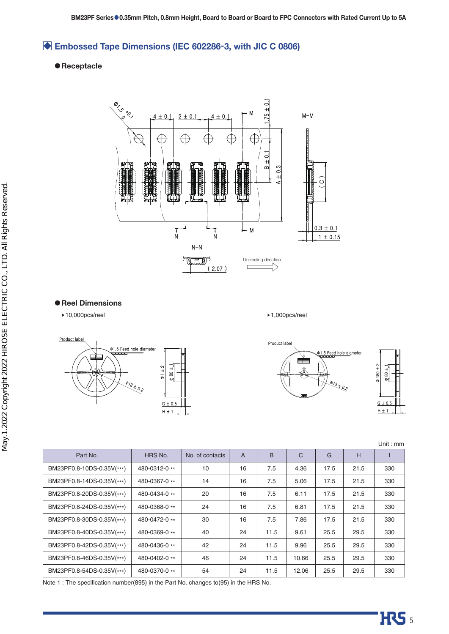## **Embossed Tape Dimensions (IEC 602286-3, with JIC C 0806)**

### ●**Receptacle**



### ●**Reel Dimensions**

▶10,000pcs/reel ▶1,000pcs/reel



Product label 01.5 Feed hole diamete  $-1.089$  $\Phi$  180 ± 2  $G \pm 0.5$ 

 $H \pm 1$ 

|                           |               |                 |                |      |       |      |      | Unit: $mm$ |
|---------------------------|---------------|-----------------|----------------|------|-------|------|------|------------|
| Part No.                  | HRS No.       | No. of contacts | $\overline{A}$ | B    | C     | G    | H    |            |
| BM23PF0.8-10DS-0.35V(***) | 480-0312-0 ** | 10              | 16             | 7.5  | 4.36  | 17.5 | 21.5 | 330        |
| BM23PF0.8-14DS-0.35V(***) | 480-0367-0 ** | 14              | 16             | 7.5  | 5.06  | 17.5 | 21.5 | 330        |
| BM23PF0.8-20DS-0.35V(***) | 480-0434-0 ** | 20              | 16             | 7.5  | 6.11  | 17.5 | 21.5 | 330        |
| BM23PF0.8-24DS-0.35V(***) | 480-0368-0 ** | 24              | 16             | 7.5  | 6.81  | 17.5 | 21.5 | 330        |
| BM23PF0.8-30DS-0.35V(***) | 480-0472-0 ** | 30              | 16             | 7.5  | 7.86  | 17.5 | 21.5 | 330        |
| BM23PF0.8-40DS-0.35V(***) | 480-0369-0 ** | 40              | 24             | 11.5 | 9.61  | 25.5 | 29.5 | 330        |
| BM23PF0.8-42DS-0.35V(***) | 480-0436-0 ** | 42              | 24             | 11.5 | 9.96  | 25.5 | 29.5 | 330        |
| BM23PF0.8-46DS-0.35V(***) | 480-0402-0 ** | 46              | 24             | 11.5 | 10.66 | 25.5 | 29.5 | 330        |
| BM23PF0.8-54DS-0.35V(***) | 480-0370-0 ** | 54              | 24             | 11.5 | 12.06 | 25.5 | 29.5 | 330        |

Note 1 : The specification number(895) in the Part No. changes to(95) in the HRS No.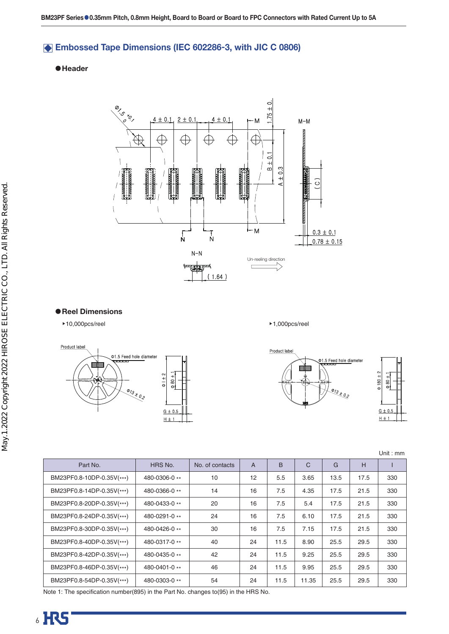### **Embossed Tape Dimensions (IEC 602286-3, with JIC C 0806)**

### ●**Header**



### ●**Reel Dimensions**

▶10,000pcs/reel ▶1,000pcs/reel







|                           |               |                 |                |      |              |      |      | Unit: $mm$ |
|---------------------------|---------------|-----------------|----------------|------|--------------|------|------|------------|
| Part No.                  | HRS No.       | No. of contacts | $\overline{A}$ | B    | $\mathsf{C}$ | G    | H    |            |
| BM23PF0.8-10DP-0.35V(***) | 480-0306-0 ** | 10              | 12             | 5.5  | 3.65         | 13.5 | 17.5 | 330        |
| BM23PF0.8-14DP-0.35V(***) | 480-0366-0 ** | 14              | 16             | 7.5  | 4.35         | 17.5 | 21.5 | 330        |
| BM23PF0.8-20DP-0.35V(***) | 480-0433-0 ** | 20              | 16             | 7.5  | 5.4          | 17.5 | 21.5 | 330        |
| BM23PF0.8-24DP-0.35V(***) | 480-0291-0 ** | 24              | 16             | 7.5  | 6.10         | 17.5 | 21.5 | 330        |
| BM23PF0.8-30DP-0.35V(***) | 480-0426-0**  | 30              | 16             | 7.5  | 7.15         | 17.5 | 21.5 | 330        |
| BM23PF0.8-40DP-0.35V(***) | 480-0317-0 ** | 40              | 24             | 11.5 | 8.90         | 25.5 | 29.5 | 330        |
| BM23PF0.8-42DP-0.35V(***) | 480-0435-0 ** | 42              | 24             | 11.5 | 9.25         | 25.5 | 29.5 | 330        |
| BM23PF0.8-46DP-0.35V(***) | 480-0401-0**  | 46              | 24             | 11.5 | 9.95         | 25.5 | 29.5 | 330        |
| BM23PF0.8-54DP-0.35V(***) | 480-0303-0 ** | 54              | 24             | 11.5 | 11.35        | 25.5 | 29.5 | 330        |

Note 1: The specification number(895) in the Part No. changes to(95) in the HRS No.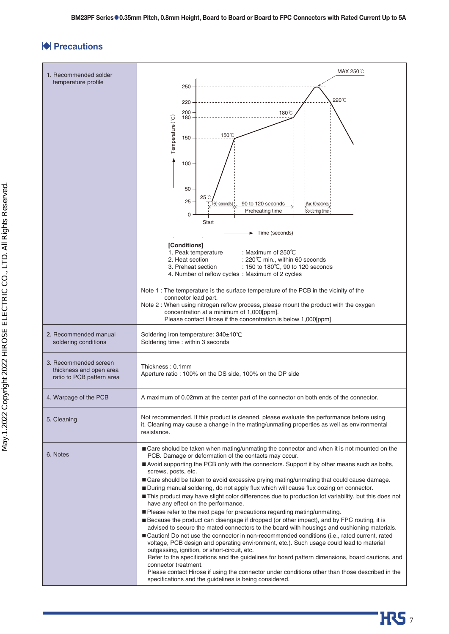# **Precautions Precautions**



**HRS**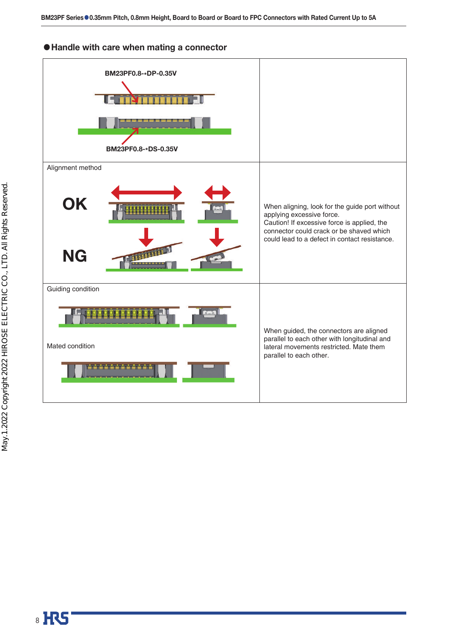### ●**Handle with care when mating a connector**

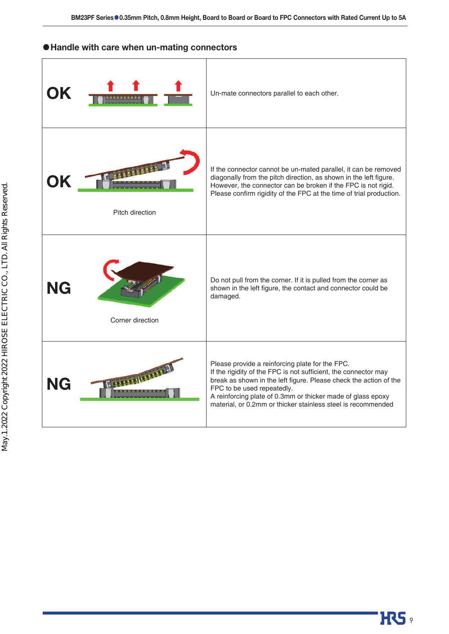### ●**Handle with care when un-mating connectors**

| IK |                  | Un-mate connectors parallel to each other.                                                                                                                                                                                                                                                                                                           |
|----|------------------|------------------------------------------------------------------------------------------------------------------------------------------------------------------------------------------------------------------------------------------------------------------------------------------------------------------------------------------------------|
|    | Pitch direction  | If the connector cannot be un-mated parallel, it can be removed<br>diagonally from the pitch direction, as shown in the left figure.<br>However, the connector can be broken if the FPC is not rigid.<br>Please confirm rigidity of the FPC at the time of trial production.                                                                         |
| NG | Corner direction | Do not pull from the corner. If it is pulled from the corner as<br>shown in the left figure, the contact and connector could be<br>damaged.                                                                                                                                                                                                          |
| NG | dimm             | Please provide a reinforcing plate for the FPC.<br>If the rigidity of the FPC is not sufficient, the connector may<br>break as shown in the left figure. Please check the action of the<br>FPC to be used repeatedly.<br>A reinforcing plate of 0.3mm or thicker made of glass epoxy<br>material, or 0.2mm or thicker stainless steel is recommended |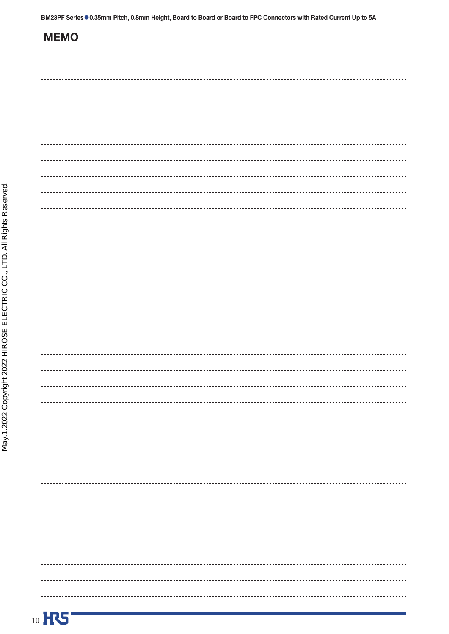**MEMO**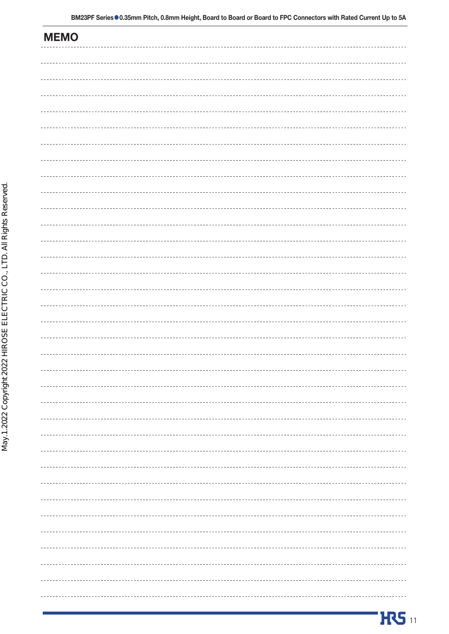| . |
|---|
|   |
|   |
|   |
|   |
|   |
| . |
|   |
|   |

**MEMO**